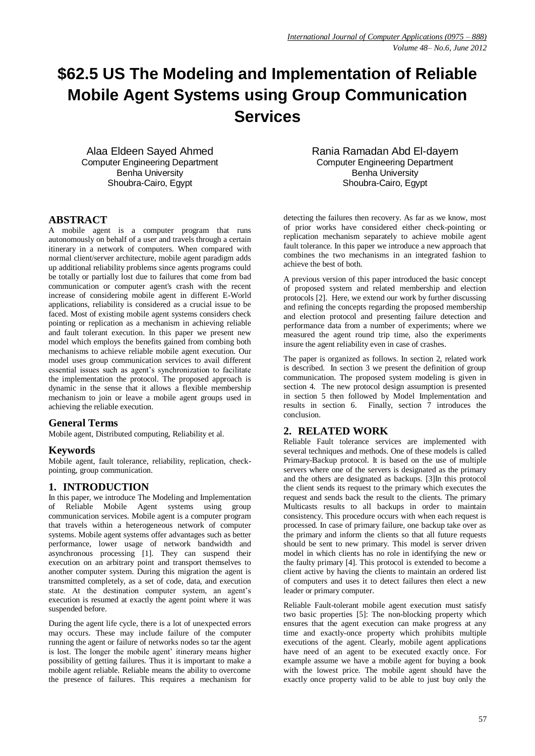# **\$62.5 US The Modeling and Implementation of Reliable Mobile Agent Systems using Group Communication Services**

Alaa Eldeen Sayed Ahmed Computer Engineering Department Benha University Shoubra-Cairo, Egypt

# **ABSTRACT**

A mobile agent is a computer program that runs autonomously on behalf of a user and travels through a certain itinerary in a network of computers. When compared with normal client/server architecture, mobile agent paradigm adds up additional reliability problems since agents programs could be totally or partially lost due to failures that come from bad communication or computer agent's crash with the recent increase of considering mobile agent in different E-World applications, reliability is considered as a crucial issue to be faced. Most of existing mobile agent systems considers check pointing or replication as a mechanism in achieving reliable and fault tolerant execution. In this paper we present new model which employs the benefits gained from combing both mechanisms to achieve reliable mobile agent execution. Our model uses group communication services to avail different essential issues such as agent's synchronization to facilitate the implementation the protocol. The proposed approach is dynamic in the sense that it allows a flexible membership mechanism to join or leave a mobile agent groups used in achieving the reliable execution*.* 

## **General Terms**

Mobile agent, Distributed computing, Reliability et al.

## **Keywords**

Mobile agent, fault tolerance, reliability, replication, checkpointing, group communication.

## **1. INTRODUCTION**

In this paper, we introduce The Modeling and Implementation of Reliable Mobile Agent systems using group communication services. Mobile agent is a computer program that travels within a heterogeneous network of computer systems. Mobile agent systems offer advantages such as better performance, lower usage of network bandwidth and asynchronous processing [1]. They can suspend their execution on an arbitrary point and transport themselves to another computer system. During this migration the agent is transmitted completely, as a set of code, data, and execution state. At the destination computer system, an agent's execution is resumed at exactly the agent point where it was suspended before.

During the agent life cycle, there is a lot of unexpected errors may occurs. These may include failure of the computer running the agent or failure of networks nodes so tar the agent is lost. The longer the mobile agent' itinerary means higher possibility of getting failures. Thus it is important to make a mobile agent reliable. Reliable means the ability to overcome the presence of failures. This requires a mechanism for Rania Ramadan Abd El-dayem Computer Engineering Department Benha University Shoubra-Cairo, Egypt

detecting the failures then recovery. As far as we know, most of prior works have considered either check-pointing or replication mechanism separately to achieve mobile agent fault tolerance. In this paper we introduce a new approach that combines the two mechanisms in an integrated fashion to achieve the best of both.

A previous version of this paper introduced the basic concept of proposed system and related membership and election protocols [2]. Here, we extend our work by further discussing and refining the concepts regarding the proposed membership and election protocol and presenting failure detection and performance data from a number of experiments; where we measured the agent round trip time, also the experiments insure the agent reliability even in case of crashes.

The paper is organized as follows. In section 2, related work is described. In section 3 we present the definition of group communication. The proposed system modeling is given in section 4. The new protocol design assumption is presented in section 5 then followed by Model Implementation and results in section 6. Finally, section 7 introduces the conclusion.

## **2. RELATED WORK**

Reliable Fault tolerance services are implemented with several techniques and methods. One of these models is called Primary-Backup protocol. It is based on the use of multiple servers where one of the servers is designated as the primary and the others are designated as backups. [3]In this protocol the client sends its request to the primary which executes the request and sends back the result to the clients. The primary Multicasts results to all backups in order to maintain consistency. This procedure occurs with when each request is processed. In case of primary failure, one backup take over as the primary and inform the clients so that all future requests should be sent to new primary. This model is server driven model in which clients has no role in identifying the new or the faulty primary [4]. This protocol is extended to become a client active by having the clients to maintain an ordered list of computers and uses it to detect failures then elect a new leader or primary computer.

Reliable Fault-tolerant mobile agent execution must satisfy two basic properties [5]: The non-blocking property which ensures that the agent execution can make progress at any time and exactly-once property which prohibits multiple executions of the agent. Clearly, mobile agent applications have need of an agent to be executed exactly once. For example assume we have a mobile agent for buying a book with the lowest price. The mobile agent should have the exactly once property valid to be able to just buy only the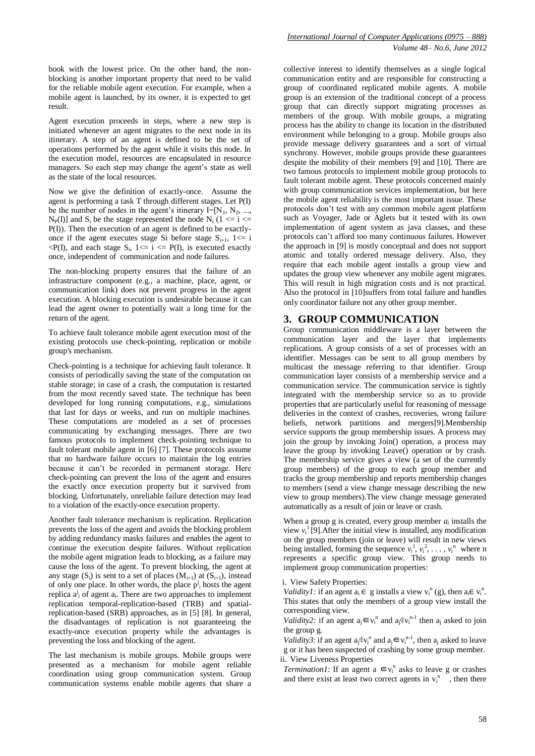book with the lowest price. On the other hand, the nonblocking is another important property that need to be valid for the reliable mobile agent execution. For example, when a mobile agent is launched, by its owner, it is expected to get result.

Agent execution proceeds in steps, where a new step is initiated whenever an agent migrates to the next node in its itinerary. A step of an agent is defined to be the set of operations performed by the agent while it visits this node. In the execution model, resources are encapsulated in resource managers. So each step may change the agent's state as well as the state of the local resources.

Now we give the definition of exactly-once. Assume the agent is performing a task T through different stages. Let P(I) be the number of nodes in the agent's itinerary  $I=[N_1, N_2, ...,$  $N_P(I)$ ] and  $S_i$  be the stage represented the node  $N_i$  (1 <= i <= P(I)). Then the execution of an agent is defined to be exactlyonce if the agent executes stage Si before stage  $S_{i+1}$ ,  $1 \le i$  $\langle P(I)$ , and each stage  $S_i$ ,  $1 \le i \le P(I)$ , is executed exactly once, independent of communication and node failures.

The non-blocking property ensures that the failure of an infrastructure component (e.g., a machine, place, agent, or communication link) does not prevent progress in the agent execution. A blocking execution is undesirable because it can lead the agent owner to potentially wait a long time for the return of the agent.

To achieve fault tolerance mobile agent execution most of the existing protocols use check-pointing, replication or mobile group's mechanism.

Check-pointing is a technique for achieving fault tolerance. It consists of periodically saving the state of the computation on stable storage; in case of a crash, the computation is restarted from the most recently saved state. The technique has been developed for long running computations, e.g., simulations that last for days or weeks, and run on multiple machines. These computations are modeled as a set of processes communicating by exchanging messages. There are two famous protocols to implement check-pointing technique to fault tolerant mobile agent in [6] [7]. These protocols assume that no hardware failure occurs to maintain the log entries because it can't be recorded in permanent storage. Here check-pointing can prevent the loss of the agent and ensures the exactly once execution property but it survived from blocking. Unfortunately, unreliable failure detection may lead to a violation of the exactly-once execution property.

Another fault tolerance mechanism is replication. Replication prevents the loss of the agent and avoids the blocking problem by adding redundancy masks failures and enables the agent to continue the execution despite failures. Without replication the mobile agent migration leads to blocking, as a failure may cause the loss of the agent. To prevent blocking, the agent at any stage  $(S_i)$  is sent to a set of places  $(M_{i+1})$  at  $(S_{i+1})$ , instead of only one place. In other words, the place  $p^j$  hosts the agent replica  $a^j$  of agent  $a_i$ . There are two approaches to implement replication temporal-replication-based (TRB) and spatialreplication-based (SRB) approaches, as in [5] [8]. In general, the disadvantages of replication is not guaranteeing the exactly-once execution property while the advantages is preventing the loss and blocking of the agent.

The last mechanism is mobile groups. Mobile groups were presented as a mechanism for mobile agent reliable coordination using group communication system. Group communication systems enable mobile agents that share a

collective interest to identify themselves as a single logical communication entity and are responsible for constructing a group of coordinated replicated mobile agents. A mobile group is an extension of the traditional concept of a process group that can directly support migrating processes as members of the group. With mobile groups, a migrating process has the ability to change its location in the distributed environment while belonging to a group. Mobile groups also provide message delivery guarantees and a sort of virtual synchrony. However, mobile groups provide these guarantees despite the mobility of their members [9] and [10]. There are two famous protocols to implement mobile group protocols to fault tolerant mobile agent. These protocols concerned mainly with group communication services implementation, but here the mobile agent reliability is the most important issue. These protocols don't test with any common mobile agent platform such as Voyager, Jade or Aglets but it tested with its own implementation of agent system as java classes, and these protocols can't afford too many continuous failures. However the approach in [9] is mostly conceptual and does not support atomic and totally ordered message delivery. Also, they require that each mobile agent installs a group view and updates the group view whenever any mobile agent migrates. This will result in high migration costs and is not practical. Also the protocol in [10]suffers from total failure and handles only coordinator failure not any other group member.

#### **3. GROUP COMMUNICATION**

Group communication middleware is a layer between the communication layer and the layer that implements replications. A group consists of a set of processes with an identifier. Messages can be sent to all group members by multicast the message referring to that identifier. Group communication layer consists of a membership service and a communication service. The communication service is tightly integrated with the membership service so as to provide properties that are particularly useful for reasoning of message deliveries in the context of crashes, recoveries, wrong failure beliefs, network partitions and mergers[9].Membership service supports the group membership issues. A process may join the group by invoking Join() operation, a process may leave the group by invoking Leave() operation or by crash. The membership service gives a view (a set of the currently group members) of the group to each group member and tracks the group membership and reports membership changes to members (send a view change message describing the new view to group members).The view change message generated automatically as a result of join or leave or crash.

When a group g is created, every group member  $a_i$  installs the view  $v_i^1$  [9]. After the initial view is installed, any modification on the group members (join or leave) will result in new views being installed, forming the sequence  $v_i^1, v_i^2, \ldots, v_i^n$  where n represents a specific group view. This group needs to implement group communication properties:

i. View Safety Properties:

*Validity1:* if an agent  $a_i \in g$  installs a view  $v_i^n(g)$ , then  $a_i \in v_i^n$ . This states that only the members of a group view install the corresponding view.

*Validity2:* if an agent  $a_i \in v_i^n$  and  $a_i \notin v_i^{n-1}$  then  $a_i$  asked to join the group g.

*Validity3*: if an agent  $a_i \notin v_i^n$  and  $a_i \in v_i^{n-1}$ , then  $a_i$  asked to leave g or it has been suspected of crashing by some group member. ii. View Liveness Properties

*Termination1*: If an agent a  $\epsilon v_i^n$  asks to leave g or crashes and there exist at least two correct agents in  $v_i^n$ , then there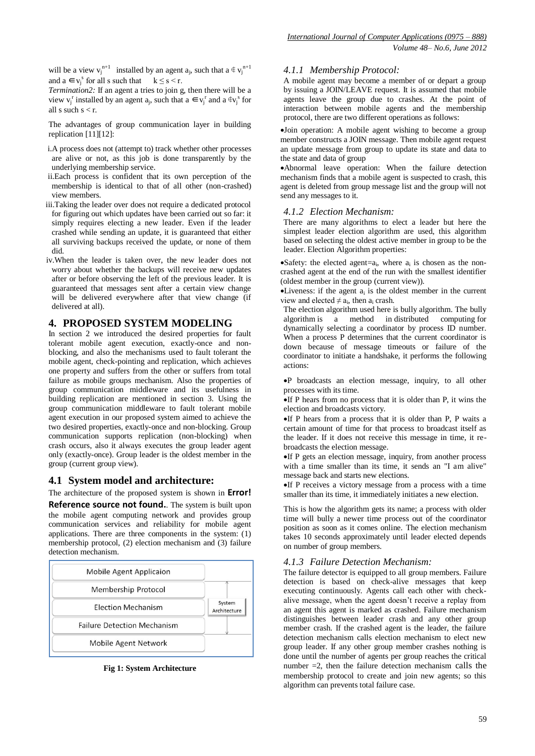will be a view  $v_i^{n+1}$  installed by an agent  $a_i$ , such that  $a \notin v_i^{n+1}$ and  $a \in v_j^s$  for all s such that  $k \le s < r$ .

*Termination2:* If an agent a tries to join g, then there will be a view  $v_j^r$  installed by an agent  $a_j$ , such that  $a \in v_j^r$  and  $a \notin v_j^s$  for all s such  $s < r$ .

The advantages of group communication layer in building replication [11][12]:

- i.A process does not (attempt to) track whether other processes are alive or not, as this job is done transparently by the underlying membership service.
- ii.Each process is confident that its own perception of the membership is identical to that of all other (non-crashed) view members.
- iii.Taking the leader over does not require a dedicated protocol for figuring out which updates have been carried out so far: it simply requires electing a new leader. Even if the leader crashed while sending an update, it is guaranteed that either all surviving backups received the update, or none of them did.
- iv.When the leader is taken over, the new leader does not worry about whether the backups will receive new updates after or before observing the left of the previous leader. It is guaranteed that messages sent after a certain view change will be delivered everywhere after that view change (if delivered at all).

# **4. PROPOSED SYSTEM MODELING**

In section 2 we introduced the desired properties for fault tolerant mobile agent execution, exactly-once and nonblocking, and also the mechanisms used to fault tolerant the mobile agent, check-pointing and replication, which achieves one property and suffers from the other or suffers from total failure as mobile groups mechanism. Also the properties of group communication middleware and its usefulness in building replication are mentioned in section 3. Using the group communication middleware to fault tolerant mobile agent execution in our proposed system aimed to achieve the two desired properties, exactly-once and non-blocking. Group communication supports replication (non-blocking) when crash occurs, also it always executes the group leader agent only (exactly-once). Group leader is the oldest member in the group (current group view).

# **4.1 System model and architecture:**

The architecture of the proposed system is shown in **Error!** 

**Reference source not found.**. The system is built upon the mobile agent computing network and provides group communication services and reliability for mobile agent applications. There are three components in the system: (1) membership protocol, (2) election mechanism and (3) failure detection mechanism.



**Fig 1: System Architecture**

#### *4.1.1 Membership Protocol:*

A mobile agent may become a member of or depart a group by issuing a JOIN/LEAVE request. It is assumed that mobile agents leave the group due to crashes. At the point of interaction between mobile agents and the membership protocol, there are two different operations as follows:

Join operation: A mobile agent wishing to become a group member constructs a JOIN message. Then mobile agent request an update message from group to update its state and data to the state and data of group

Abnormal leave operation: When the failure detection mechanism finds that a mobile agent is suspected to crash, this agent is deleted from group message list and the group will not send any messages to it.

#### *4.1.2 Election Mechanism:*

There are many algorithms to elect a leader but here the simplest leader election algorithm are used, this algorithm based on selecting the oldest active member in group to be the leader. Election Algorithm properties:

Safety: the elected agent= $a_i$ , where  $a_i$  is chosen as the noncrashed agent at the end of the run with the smallest identifier (oldest member in the group (current view)).

 $\bullet$ Liveness: if the agent  $a_i$  is the oldest member in the current view and elected  $\neq a_i$ , then  $a_i$  crash.

The election algorithm used here is bully algorithm. The bully algorithm is a method in distributed computing for dynamically selecting a coordinator by process ID number. When a process P determines that the current coordinator is down because of message timeouts or failure of the coordinator to initiate a handshake, it performs the following actions:

P broadcasts an election message, inquiry, to all other processes with its time.

 $\bullet$ If P hears from no process that it is older than P, it wins the election and broadcasts victory.

 $\bullet$ If P hears from a process that it is older than P, P waits a certain amount of time for that process to broadcast itself as the leader. If it does not receive this message in time, it rebroadcasts the election message.

 $\bullet$ If P gets an election message, inquiry, from another process with a time smaller than its time, it sends an "I am alive" message back and starts new elections.

If P receives a victory message from a process with a time smaller than its time, it immediately initiates a new election.

This is how the algorithm gets its name; a process with older time will bully a newer time process out of the coordinator position as soon as it comes online. The election mechanism takes 10 seconds approximately until leader elected depends on number of group members.

## *4.1.3 Failure Detection Mechanism:*

The failure detector is equipped to all group members. Failure detection is based on check-alive messages that keep executing continuously. Agents call each other with checkalive message, when the agent doesn't receive a replay from an agent this agent is marked as crashed. Failure mechanism distinguishes between leader crash and any other group member crash. If the crashed agent is the leader, the failure detection mechanism calls election mechanism to elect new group leader. If any other group member crashes nothing is done until the number of agents per group reaches the critical number  $=2$ , then the failure detection mechanism calls the membership protocol to create and join new agents; so this algorithm can prevents total failure case.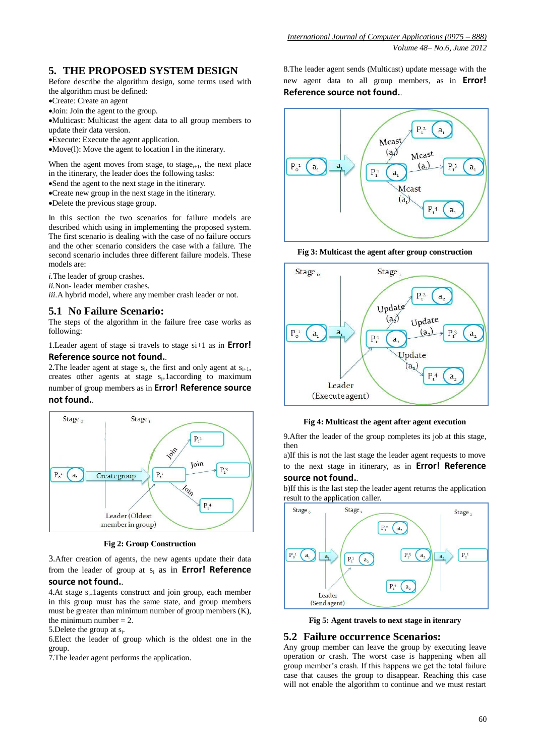# **5. THE PROPOSED SYSTEM DESIGN**

Before describe the algorithm design, some terms used with the algorithm must be defined:

Create: Create an agent

Join: Join the agent to the group.

Multicast: Multicast the agent data to all group members to update their data version.

Execute: Execute the agent application.

Move(l): Move the agent to location l in the itinerary.

When the agent moves from stage<sub>i</sub> to stage<sub>i+1</sub>, the next place in the itinerary, the leader does the following tasks: Send the agent to the next stage in the itinerary.

Create new group in the next stage in the itinerary.

Delete the previous stage group.

In this section the two scenarios for failure models are described which using in implementing the proposed system. The first scenario is dealing with the case of no failure occurs and the other scenario considers the case with a failure. The second scenario includes three different failure models. These models are:

*i.*The leader of group crashes.

*ii.*Non- leader member crashes. *iii.*A hybrid model, where any member crash leader or not.

#### **5.1 No Failure Scenario:**

The steps of the algorithm in the failure free case works as following:

1.Leader agent of stage si travels to stage si+1 as in **Error! Reference source not found.**.

2. The leader agent at stage  $s_i$ , the first and only agent at  $s_{i+1}$ , creates other agents at stage  $s_{i+}$ 1according to maximum number of group members as in **Error! Reference source not found.**.



**Fig 2: Group Construction**

3.After creation of agents, the new agents update their data from the leader of group at s<sup>i</sup> as in **Error! Reference** 

# **source not found.**.

4.At stage  $s_{i+}$ 1agents construct and join group, each member in this group must has the same state, and group members must be greater than minimum number of group members (K), the minimum number  $= 2$ .

5. Delete the group at s<sub>i</sub>.

6.Elect the leader of group which is the oldest one in the group.

7.The leader agent performs the application.

8.The leader agent sends (Multicast) update message with the new agent data to all group members, as in **Error! Reference source not found.**.



**Fig 3: Multicast the agent after group construction**



**Fig 4: Multicast the agent after agent execution**

9. After the leader of the group completes its job at this stage, then

a)If this is not the last stage the leader agent requests to move to the next stage in itinerary, as in **Error! Reference source not found.**.

b)If this is the last step the leader agent returns the application result to the application caller.



**Fig 5: Agent travels to next stage in itenrary**

## **5.2 Failure occurrence Scenarios:**

Any group member can leave the group by executing leave operation or crash. The worst case is happening when all group member's crash. If this happens we get the total failure case that causes the group to disappear. Reaching this case will not enable the algorithm to continue and we must restart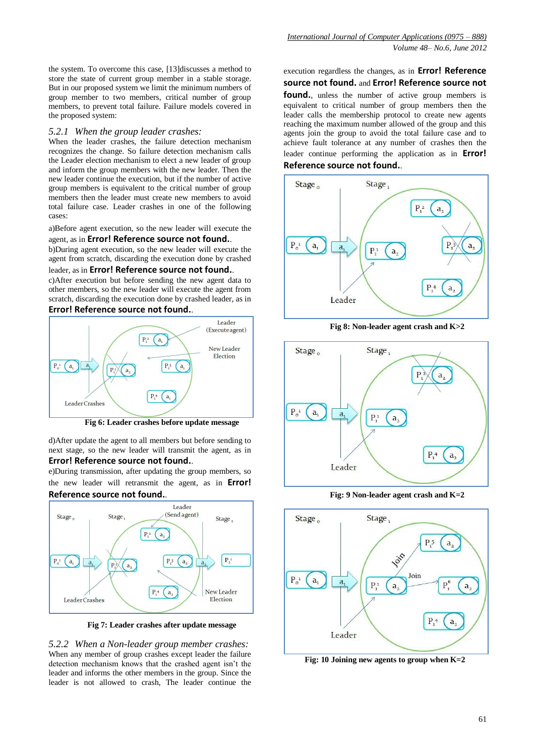the system. To overcome this case, [13]discusses a method to store the state of current group member in a stable storage. But in our proposed system we limit the minimum numbers of group member to two members, critical number of group members, to prevent total failure. Failure models covered in the proposed system:

#### *5.2.1 When the group leader crashes:*

When the leader crashes, the failure detection mechanism recognizes the change. So failure detection mechanism calls the Leader election mechanism to elect a new leader of group and inform the group members with the new leader. Then the new leader continue the execution, but if the number of active group members is equivalent to the critical number of group members then the leader must create new members to avoid total failure case. Leader crashes in one of the following cases:

a)Before agent execution, so the new leader will execute the agent, as in **Error! Reference source not found.**.

b)During agent execution, so the new leader will execute the agent from scratch, discarding the execution done by crashed leader, as in **Error! Reference source not found.**.

c)After execution but before sending the new agent data to

other members, so the new leader will execute the agent from scratch, discarding the execution done by crashed leader, as in **Error! Reference source not found.**.



**Fig 6: Leader crashes before update message**

d)After update the agent to all members but before sending to next stage, so the new leader will transmit the agent, as in **Error! Reference source not found.**.

e)During transmission, after updating the group members, so the new leader will retransmit the agent, as in **Error! Reference source not found.**.



**Fig 7: Leader crashes after update message**

*5.2.2 When a Non-leader group member crashes:* When any member of group crashes except leader the failure detection mechanism knows that the crashed agent isn't the leader and informs the other members in the group. Since the leader is not allowed to crash, The leader continue the

#### execution regardless the changes, as in **Error! Reference source not found.** and **Error! Reference source not**

**found.**, unless the number of active group members is equivalent to critical number of group members then the leader calls the membership protocol to create new agents reaching the maximum number allowed of the group and this agents join the group to avoid the total failure case and to achieve fault tolerance at any number of crashes then the leader continue performing the application as in **Error! Reference source not found.**.



**Fig 8: Non-leader agent crash and K>2**



**Fig: 9 Non-leader agent crash and K=2**



**Fig: 10 Joining new agents to group when K=2**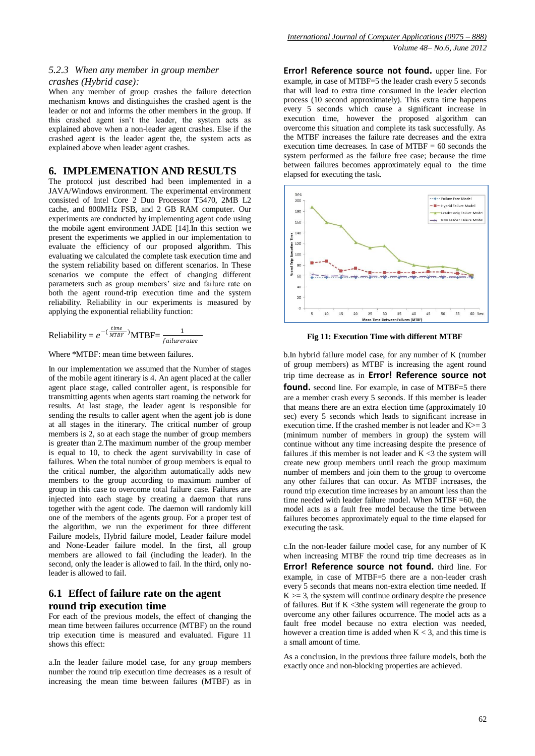#### *5.2.3 When any member in group member crashes (Hybrid case):*

When any member of group crashes the failure detection mechanism knows and distinguishes the crashed agent is the leader or not and informs the other members in the group. If this crashed agent isn't the leader, the system acts as explained above when a non-leader agent crashes. Else if the crashed agent is the leader agent the, the system acts as explained above when leader agent crashes.

#### **6. IMPLEMENATION AND RESULTS**

The protocol just described had been implemented in a JAVA/Windows environment. The experimental environment consisted of Intel Core 2 Duo Processor T5470, 2MB L2 cache, and 800MHz FSB, and 2 GB RAM computer. Our experiments are conducted by implementing agent code using the mobile agent environment JADE [14].In this section we present the experiments we applied in our implementation to evaluate the efficiency of our proposed algorithm. This evaluating we calculated the complete task execution time and the system reliability based on different scenarios. In These scenarios we compute the effect of changing different parameters such as group members' size and failure rate on both the agent round-trip execution time and the system reliability. Reliability in our experiments is measured by applying the exponential reliability function:

Reliability = 
$$
e^{-(\frac{time}{MTBF})}
$$
MTBF= $\frac{1}{failurerate}$ 

Where \*MTBF: mean time between failures.

In our implementation we assumed that the Number of stages of the mobile agent itinerary is 4. An agent placed at the caller agent place stage, called controller agent, is responsible for transmitting agents when agents start roaming the network for results. At last stage, the leader agent is responsible for sending the results to caller agent when the agent job is done at all stages in the itinerary. The critical number of group members is 2, so at each stage the number of group members is greater than 2.The maximum number of the group member is equal to 10, to check the agent survivability in case of failures. When the total number of group members is equal to the critical number, the algorithm automatically adds new members to the group according to maximum number of group in this case to overcome total failure case. Failures are injected into each stage by creating a daemon that runs together with the agent code. The daemon will randomly kill one of the members of the agents group. For a proper test of the algorithm, we run the experiment for three different Failure models, Hybrid failure model, Leader failure model and None-Leader failure model. In the first, all group members are allowed to fail (including the leader). In the second, only the leader is allowed to fail. In the third, only noleader is allowed to fail.

# **6.1 Effect of failure rate on the agent round trip execution time**

For each of the previous models, the effect of changing the mean time between failures occurrence (MTBF) on the round trip execution time is measured and evaluated. Figure 11 shows this effect:

a.In the leader failure model case, for any group members number the round trip execution time decreases as a result of increasing the mean time between failures (MTBF) as in

**Error! Reference source not found.** upper line. For example, in case of MTBF=5 the leader crash every 5 seconds that will lead to extra time consumed in the leader election process (10 second approximately). This extra time happens every 5 seconds which cause a significant increase in execution time, however the proposed algorithm can overcome this situation and complete its task successfully. As the MTBF increases the failure rate decreases and the extra execution time decreases. In case of  $MTBF = 60$  seconds the system performed as the failure free case; because the time between failures becomes approximately equal to the time elapsed for executing the task.



**Fig 11: Execution Time with different MTBF**

b.In hybrid failure model case, for any number of K (number of group members) as MTBF is increasing the agent round trip time decrease as in **Error! Reference source not**  found. second line. For example, in case of MTBF=5 there are a member crash every 5 seconds. If this member is leader that means there are an extra election time (approximately 10 sec) every 5 seconds which leads to significant increase in execution time. If the crashed member is not leader and  $K \geq 3$ (minimum number of members in group) the system will continue without any time increasing despite the presence of failures .if this member is not leader and  $\bar{K}$  <3 the system will create new group members until reach the group maximum number of members and join them to the group to overcome any other failures that can occur. As MTBF increases, the round trip execution time increases by an amount less than the time needed with leader failure model. When MTBF =60, the model acts as a fault free model because the time between failures becomes approximately equal to the time elapsed for executing the task.

c.In the non-leader failure model case, for any number of K when increasing MTBF the round trip time decreases as in **Error! Reference source not found.** third line. For example, in case of MTBF=5 there are a non-leader crash every 5 seconds that means non-extra election time needed. If  $K \geq 3$ , the system will continue ordinary despite the presence of failures. But if  $K < 3$ the system will regenerate the group to overcome any other failures occurrence. The model acts as a fault free model because no extra election was needed, however a creation time is added when  $K < 3$ , and this time is a small amount of time.

As a conclusion, in the previous three failure models, both the exactly once and non-blocking properties are achieved.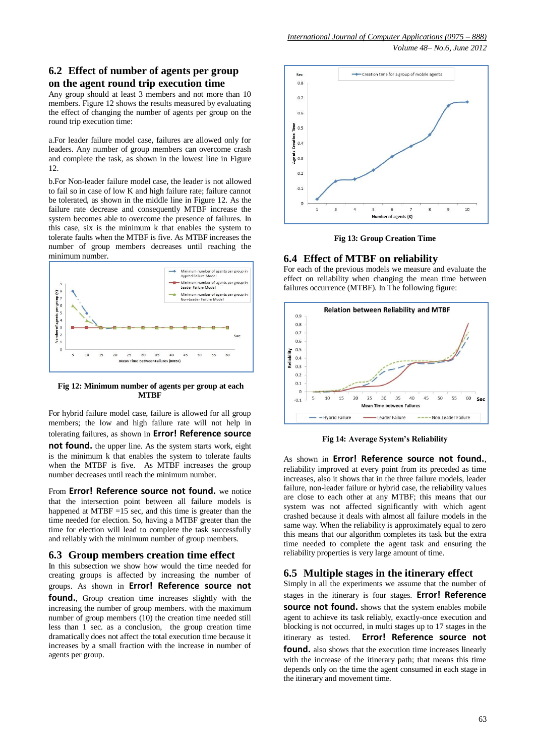# **6.2 Effect of number of agents per group on the agent round trip execution time**

Any group should at least 3 members and not more than 10 members. Figure 12 shows the results measured by evaluating the effect of changing the number of agents per group on the round trip execution time:

a.For leader failure model case, failures are allowed only for leaders. Any number of group members can overcome crash and complete the task, as shown in the lowest line in Figure 12.

b.For Non-leader failure model case, the leader is not allowed to fail so in case of low K and high failure rate; failure cannot be tolerated, as shown in the middle line in Figure 12. As the failure rate decrease and consequently MTBF increase the system becomes able to overcome the presence of failures. In this case, six is the minimum k that enables the system to tolerate faults when the MTBF is five. As MTBF increases the number of group members decreases until reaching the minimum number.



#### **Fig 12: Minimum number of agents per group at each MTBF**

For hybrid failure model case, failure is allowed for all group members; the low and high failure rate will not help in tolerating failures, as shown in **Error! Reference source** 

**not found.** the upper line. As the system starts work, eight is the minimum k that enables the system to tolerate faults when the MTBF is five. As MTBF increases the group number decreases until reach the minimum number.

From **Error! Reference source not found.** we notice that the intersection point between all failure models is happened at MTBF  $=15$  sec, and this time is greater than the time needed for election. So, having a MTBF greater than the time for election will lead to complete the task successfully and reliably with the minimum number of group members.

## **6.3 Group members creation time effect**

In this subsection we show how would the time needed for creating groups is affected by increasing the number of groups. As shown in **Error! Reference source not found.**, Group creation time increases slightly with the increasing the number of group members. with the maximum number of group members (10) the creation time needed still less than 1 sec. as a conclusion, the group creation time dramatically does not affect the total execution time because it increases by a small fraction with the increase in number of agents per group.



**Fig 13: Group Creation Time**

# **6.4 Effect of MTBF on reliability**

For each of the previous models we measure and evaluate the effect on reliability when changing the mean time between failures occurrence (MTBF). In The following figure:



**Fig 14: Average System's Reliability**

As shown in **Error! Reference source not found.**, reliability improved at every point from its preceded as time increases, also it shows that in the three failure models, leader failure, non-leader failure or hybrid case, the reliability values are close to each other at any MTBF; this means that our system was not affected significantly with which agent crashed because it deals with almost all failure models in the same way. When the reliability is approximately equal to zero this means that our algorithm completes its task but the extra time needed to complete the agent task and ensuring the reliability properties is very large amount of time.

# **6.5 Multiple stages in the itinerary effect**

Simply in all the experiments we assume that the number of stages in the itinerary is four stages. **Error! Reference source not found.** shows that the system enables mobile agent to achieve its task reliably, exactly-once execution and blocking is not occurred, in multi stages up to 17 stages in the itinerary as tested. **Error! Reference source not found.** also shows that the execution time increases linearly with the increase of the itinerary path; that means this time depends only on the time the agent consumed in each stage in the itinerary and movement time.